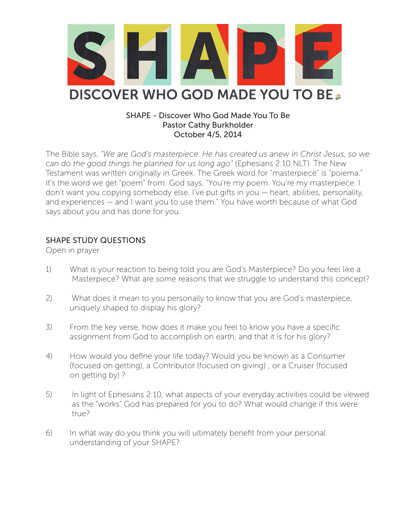

#### SHAPE - Discover Who God Made You To Be Pastor Cathy Burkholder October 4/5, 2014

The Bible says, *"We are God's masterpiece. He has created us anew in Christ Jesus, so we can do the good things he planned for us long ago"* (Ephesians 2:10 NLT). The New Testament was written originally in Greek. The Greek word for "masterpiece" is "poiema." It's the word we get "poem" from. God says, "You're my poem. You're my masterpiece. I don't want you copying somebody else. I've put gifts in you — heart, abilities, personality, and experiences — and I want you to use them." You have worth because of what God says about you and has done for you.

# SHAPE STUDY QUESTIONS

Open in prayer

- 1) What is your reaction to being told you are God's Masterpiece? Do you feel like a Masterpiece? What are some reasons that we struggle to understand this concept?
- 2) What does it mean to you personally to know that you are God's masterpiece, uniquely shaped to display his glory?
- 3) From the key verse, how does it make you feel to know you have a specific assignment from God to accomplish on earth, and that it is for his glory?
- 4) How would you define your life today? Would you be known as a Consumer (focused on getting), a Contributor (focused on giving) , or a Cruiser (focused on getting by) ?
- 5) In light of Ephesians 2:10, what aspects of your everyday activities could be viewed as the "works" God has prepared for you to do? What would change if this were true?
- 6) In what way do you think you will ultimately benefit from your personal understanding of your SHAPE?